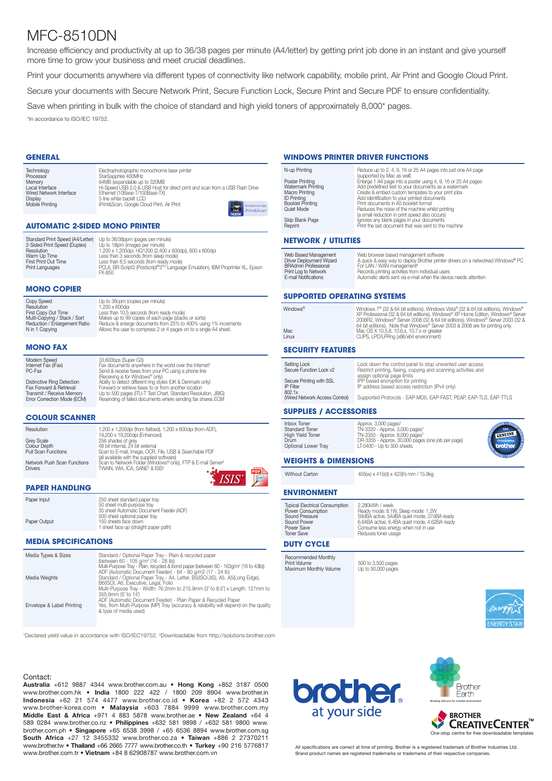### MFC-8510DN

Increase efficiency and productivity at up to 36/38 pages per minute (A4/letter) by getting print job done in an instant and give yourself more time to grow your business and meet crucial deadlines.

Print your documents anywhere via different types of connectivity like network capability, mobile print, Air Print and Google Cloud Print.

Secure your documents with Secure Network Print, Secure Function Lock, Secure Print and Secure PDF to ensure confidentiality.

Save when printing in bulk with the choice of standard and high yield toners of approximately 8,000\* pages.

\*In accordance to ISO/IEC 19752.

#### **GENERAL**

| Technology              | Electrophotographic monochrome laser printer                                          |
|-------------------------|---------------------------------------------------------------------------------------|
| Processor               | StarSapphire 400MHz                                                                   |
| Memory                  | 64MB (expandable up to 320MB)                                                         |
| Local Interface         | Hi-Speed USB 2.0 & USB Host for direct print and scan from a USB Flash Drive          |
| Wired Network Interface | Ethernet (10Base-T/100Base-TX)                                                        |
| Display                 | 5 line white backlit LCD                                                              |
| Mobile Printing         | iPrint&Scan, Google Cloud Print, Air Print<br>Smartphone App<br><b>Print&amp;Scan</b> |

#### **Automatic 2-Sided Mono Printer**

| Standard Print Speed (A4/Letter) | Up to 36/38ppm (pages per minute)                                             |
|----------------------------------|-------------------------------------------------------------------------------|
| 2-Sided Print Speed (Duplex)     | Up to 18ipm (images per minute)                                               |
| Resolution                       | 1,200 x 1,200dpi, HQ1200 (2,400 x 600dpi), 600 x 600dpi                       |
| Warm Up Time                     | Less than 3 seconds (from sleep mode)                                         |
| <b>First Print Out Time</b>      | Less than 8.5 seconds (from ready mode)                                       |
| Print Languages                  | PCL6, BR-Script3 (Postscript®3™ Language Emulation), IBM Proprinter XL, Epson |
|                                  | <b>FX-850</b>                                                                 |

#### **Mono Copier**

| Copy Speed                    | Up to 36cpm (copies per minute)                                   |
|-------------------------------|-------------------------------------------------------------------|
| Resolution                    | 1.200 x 600dpi                                                    |
| First Copy Out Time           | Less than 10.5 seconds (from ready mode)                          |
| Multi-Copying / Stack / Sort  | Makes up to 99 copies of each page (stacks or sorts)              |
| Reduction / Enlargement Ratio | Reduce & enlarge documents from 25% to 400% using 1% increments   |
| N in 1 Copving                | Allows the user to compress 2 or 4 pages on to a single A4 sheet. |
|                               |                                                                   |

#### **Mono Fax**

| Modem Speed<br>Internet Fax (iFax)<br>PC-Fax | 33,600bps (Super G3)<br>Fax documents anywhere in the world over the Internet <sup>2</sup><br>Send & receive faxes from your PC using a phone line<br>(Receiving is for Windows® only) |
|----------------------------------------------|----------------------------------------------------------------------------------------------------------------------------------------------------------------------------------------|
| <b>Distinctive Ring Detection</b>            | Ability to detect different ring styles (UK & Denmark only)                                                                                                                            |
| Fax Forward & Retrieval                      | Forward or retrieve faxes to or from another location                                                                                                                                  |
| Transmit / Receive Memory                    | Up to 500 pages (ITU-T Test Chart, Standard Resolution, JBIG)                                                                                                                          |
| Error Correction Mode (ECM)                  | Resending of failed documents where sending fax shares ECM                                                                                                                             |

#### **Colour Scanner**

| Resolution                  | 1,200 x 1,200dpi (from flatbed), 1,200 x 600dpi (from ADF),              |
|-----------------------------|--------------------------------------------------------------------------|
|                             | 19,200 x 19,200dpi (Enhanced)                                            |
| Grey Scale                  | 256 shades of grey                                                       |
| Colour Depth                | 48 bit internal, 24 bit external                                         |
| <b>Pull Scan Functions</b>  | Scan to E-mail, Image, OCR, File, USB & Searchable PDF                   |
|                             | (all available with the supplied software)                               |
| Network Push Scan Functions | Scan to Network Folder (Windows® only), FTP & E-mail Server <sup>2</sup> |
| <b>Drivers</b>              | TWAIN, WIA, ICA, SANE <sup>2</sup> & ISIS <sup>2</sup>                   |
|                             |                                                                          |

#### **Paper Handling**

| Paper Input  | 250 sheet standard paper tray<br>50 sheet multi-purpose tray<br>35 sheet Automatic Document Feeder (ADF) |
|--------------|----------------------------------------------------------------------------------------------------------|
| Paper Output | 500 sheet optional paper trav<br>150 sheets face down<br>1 sheet face up (straight paper path)           |

#### **Media Specifications**

| Media Types & Sizes       | Standard / Optional Paper Tray - Plain & recycled paper<br>(between 60 - 105 a/m <sup>2</sup> (16 - 28 lb))                                                                                                                                                                              |
|---------------------------|------------------------------------------------------------------------------------------------------------------------------------------------------------------------------------------------------------------------------------------------------------------------------------------|
| Media Weights             | Multi-Purpose Tray - Plain, recycled & bond paper (between 60 - 163q/m <sup>2</sup> (16 to 43lb))<br>ADF (Automatic Document Feeder) - 64 - 90 g/m2 (17 - 24 lb)<br>Standard / Optional Paper Tray - A4, Letter, B5(ISO/JIS), A5, A5(Long Edge),<br>B6(ISO), A6, Executive, Legal, Folio |
| Envelope & Label Printing | Multi-Purpose Tray - Width: 76.2mm to 215.9mm (3" to 8.5") x Length: 127mm to<br>355.6mm (5" to 14")<br>ADF (Automatic Document Feeder) - Plain Paper & Recycled Paper<br>Yes, from Multi-Purpose (MP) Tray (accuracy & reliability will depend on the quality<br>& type of media used)  |

1 Declared yield value in accordance with ISO/IEC19752. 2 Downloadable from http://solutions.brother.com

#### Contact:

Australia +612 9887 4344 www.brother.com.au • Hong Kong +852 3187 0500 www.brother.com.hk • India 1800 222 422 / 1800 209 8904 www.brother.in Indonesia +62 21 574 4477 www.brother.co.id • Korea +82 2 572 4343 www.brother-korea.com • Malaysia +603 7884 9999 www.brother.com.my Middle East & Africa +971 4 883 5878 www.brother.ae • New Zealand +64 4 589 0284 www.brother.co.nz • Philippines +632 581 9898 / +632 581 9800 www. brother.com.ph • Singapore +65 6538 3998 / +65 6536 8894 www.brother.com.sg South Africa +27 12 3455332 www.brother.co.za • Taiwan +886 2 27370211 www.brother.tw • Thailand +66 2665 7777 www.brother.co.th • Turkey +90 216 5776817 www.brother.com.tr • Vietnam +84 8 62908787 www.brother.com.vn

#### **Windows Printer Driver Functions**

| N-up Printing                         | Reduce up to 2, 4, 9, 16 or 25 A4 pages into just one A4 page<br>(supported by Mac as well)                                                |
|---------------------------------------|--------------------------------------------------------------------------------------------------------------------------------------------|
| Poster Printing                       | Enlarge 1 A4 page into a poster using 4, 9, 16 or 25 A4 pages                                                                              |
| <b>Watermark Printing</b>             | Add predefined text to your documents as a watermark                                                                                       |
| Macro Printing                        | Create & embed custom templates to your print jobs                                                                                         |
| <b>ID Printing</b>                    | Add identification to your printed documents                                                                                               |
| <b>Booklet Printing</b><br>Quiet Mode | Print documents in A5 booklet format<br>Reduces the noise of the machine whilst printing<br>(a small reduction in print speed also occurs) |
| Skip Blank Page                       | Ignores any blank pages in your documents                                                                                                  |
| Reprint                               | Print the last document that was sent to the machine                                                                                       |

#### **Network / Utilities**

| Web Based Management<br>Driver Deployment Wizard<br><b>BRAdmin Professional</b><br>Print Loa to Network<br>E-mail Notifications | Web browser based management software<br>A quick & easy way to deploy Brother printer drivers on a networked Windows® PC<br>For LAN / WAN management <sup>2</sup><br>Records printing activities from individual users<br>Automatic alerts sent via e-mail when the device needs attention |
|---------------------------------------------------------------------------------------------------------------------------------|--------------------------------------------------------------------------------------------------------------------------------------------------------------------------------------------------------------------------------------------------------------------------------------------|
|                                                                                                                                 |                                                                                                                                                                                                                                                                                            |

#### **Supported Operating Systems**

| Windows <sup>®</sup> | Windows 7 <sup>®</sup> (32 & 64 bit editions), Windows Vista® (32 & 64 bit editions), Windows®<br>XP Professional (32 & 64 bit editions), Windows® XP Home Edition, Windows® Server<br>2008R2, Windows® Server 2008 (32 & 64 bit editions), Windows® Server 2003 (32 &<br>64 bit editions). Note that Windows® Server 2003 & 2008 are for printing only. |
|----------------------|----------------------------------------------------------------------------------------------------------------------------------------------------------------------------------------------------------------------------------------------------------------------------------------------------------------------------------------------------------|
| Mac                  | Mac OS X 10.5.8, 10.6.x, 10.7.x or greater                                                                                                                                                                                                                                                                                                               |
| Linux                | CUPS, LPD/LPRng (x86/x64 environment)                                                                                                                                                                                                                                                                                                                    |

#### **Security Features**

| Setting Lock<br>Secure Function Lock v2  | Lock down the control panel to stop unwanted user access<br>Restrict printing, faxing, copying and scanning activities and |
|------------------------------------------|----------------------------------------------------------------------------------------------------------------------------|
| Secure Printing with SSL<br>IP Filter    | assign optional page limits<br>IPP based encryption for printing<br>IP address based access restriction (IPv4 only)        |
| 802.1x<br>(Wired Network Access Control) | Supported Protocols - EAP-MD5, EAP-FAST, PEAP, EAP-TLS, EAP-TTLS                                                           |

#### **SUPPLIES / ACCESSORIES**

| <b>Inbox Toner</b>    | Approx. 3,000 pages <sup>1</sup>                  |
|-----------------------|---------------------------------------------------|
| <b>Standard Toner</b> | TN-3320 - Approx. 3,000 pages <sup>1</sup>        |
| High Yield Toner      | TN-3350 - Approx. 8,000 pages <sup>1</sup>        |
| Drum                  | DR-3355 - Approx. 30,000 pages (one job per page) |
| Optional Lower Trav   | LT-5400 - Up to 500 sheets                        |
|                       |                                                   |

#### **WEIGHTS & DIMENSIONS**

Without Carton 405(w) x 415(d) x 423(h) mm / 15.8kg

#### **ENVIRONMENT**

| <b>Typical Electrical Consumption</b> | 2.280kWh / week                               |
|---------------------------------------|-----------------------------------------------|
| Power Consumption                     | Ready mode: 8.1W, Sleep mode: 1.2W            |
| Sound Pressure                        | 59dBA active, 54dBA quiet mode, 37dBA ready   |
| Sound Power                           | 6.64BA active, 6.4BA quiet mode, 4.62BA ready |
| Power Save                            | Consume less energy when not in use           |
| <b>Toner Save</b>                     | Reduces toner usage                           |
|                                       |                                               |

#### **DUTY CYCLE**

Recommended Monthly Print Volume 500 to 3,500 pages Maximum Monthly Volume Up to 50,000 pages









All specifications are correct at time of printing. Brother is a registered trademark of Brother Industries Ltd. Brand product names are registered trademarks or trademarks of their respective companies.